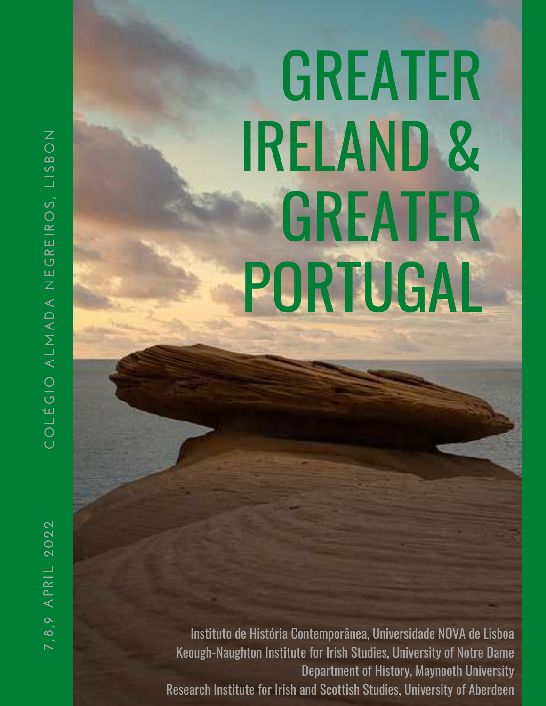# GREATER IRELAND & GREATER PORTUGAL

Instituto de História Contemporânea, Universidade NOVA de Lisboa Keough-Naughton Institute for Irish Studies, University of Notre Dame Department of History, Maynooth University Research Institute for Irish and Scottish Studies, University of Aberdeen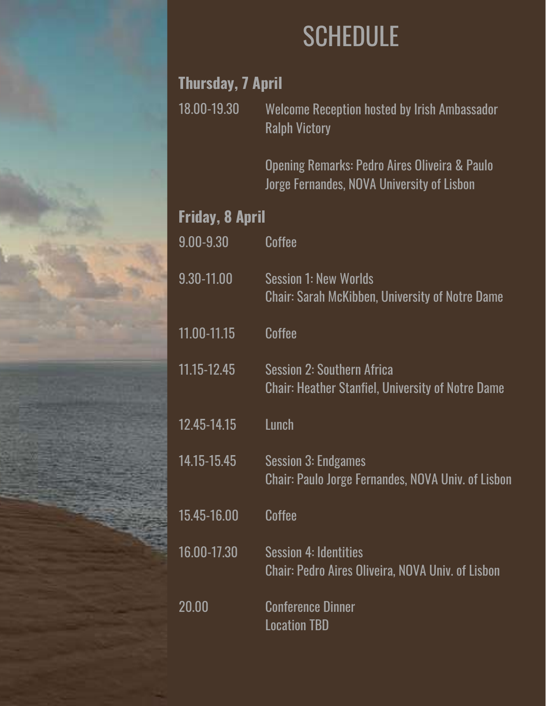

### **SCHEDULE**

#### **Thursday, 7 April**

18.00-19.30 Welcome Reception hosted by Irish Ambassador Ralph Victory

> Opening Remarks: Pedro Aires Oliveira & Paulo Jorge Fernandes, NOVA University of Lisbon

#### **Friday, 8 April**

| $0.00 - 9.30$ | Coffee                                                                                        |
|---------------|-----------------------------------------------------------------------------------------------|
| 9.30-11.00    | <b>Session 1: New Worlds</b><br><b>Chair: Sarah McKibben, University of Notre Dame</b>        |
| 11.00-11.15   | Coffee                                                                                        |
| 11.15-12.45   | <b>Session 2: Southern Africa</b><br><b>Chair: Heather Stanfiel, University of Notre Dame</b> |
| 12.45-14.15   | Lunch                                                                                         |
| 14.15-15.45   | <b>Session 3: Endgames</b><br><b>Chair: Paulo Jorge Fernandes, NOVA Univ. of Lisbon</b>       |
| 15.45-16.00   | Coffee                                                                                        |
| 16.00-17.30   | <b>Session 4: Identities</b><br><b>Chair: Pedro Aires Oliveira, NOVA Univ. of Lisbon</b>      |
| 20.00         | <b>Conference Dinner</b><br><b>Location TBD</b>                                               |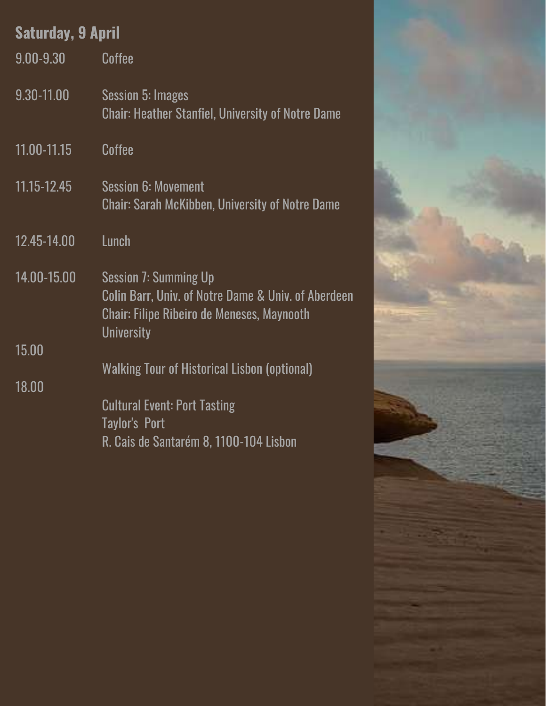| <b>Saturday, 9 April</b> |                                                                                                                                                        |  |
|--------------------------|--------------------------------------------------------------------------------------------------------------------------------------------------------|--|
| $9.00 - 9.30$            | Coffee                                                                                                                                                 |  |
| 9.30-11.00               | Session 5: Images<br><b>Chair: Heather Stanfiel, University of Notre Dame</b>                                                                          |  |
| 11.00-11.15              | Coffee                                                                                                                                                 |  |
| 11.15-12.45              | <b>Session 6: Movement</b><br><b>Chair: Sarah McKibben, University of Notre Dame</b>                                                                   |  |
| 12.45-14.00              | Lunch                                                                                                                                                  |  |
| 14.00-15,00              | <b>Session 7: Summing Up</b><br>Colin Barr, Univ. of Notre Dame & Univ. of Aberdeen<br>Chair: Filipe Ribeiro de Meneses, Maynooth<br><b>University</b> |  |
| 15.00                    |                                                                                                                                                        |  |
| 18.00                    | Walking Tour of Historical Lisbon (optional)                                                                                                           |  |
|                          | <b>Cultural Event: Port Tasting</b><br>Taylor's Port                                                                                                   |  |
|                          | R. Cais de Santarém 8, 1100-104 Lisbon                                                                                                                 |  |

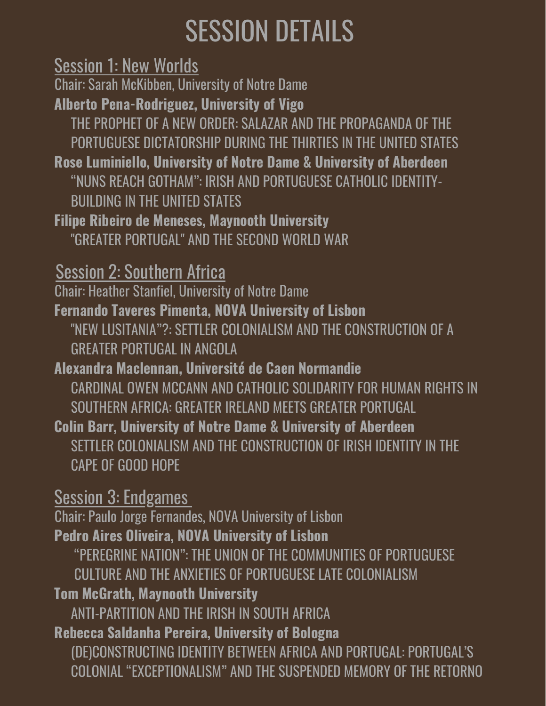## SESSION DETAILS

Session 1: New Worlds

Chair: Sarah McKibben, University of Notre Dame

**Alberto Pena-Rodriguez, University of Vigo**

THE PROPHET OF A NEW ORDER: SALAZAR AND THE PROPAGANDA OF THE PORTUGUESE DICTATORSHIP DURING THE THIRTIES IN THE UNITED STATES

**Rose Luminiello, University of Notre Dame & University of Aberdeen** "NUNS REACH GOTHAM": IRISH AND PORTUGUESE CATHOLIC IDENTITY-BUILDING IN THE UNITED STATES

**Filipe Ribeiro de Meneses, Maynooth University** "GREATER PORTUGAL" AND THE SECOND WORLD WAR

Session 2: Southern Africa

Chair: Heather Stanfiel, University of Notre Dame

**Fernando Taveres Pimenta, NOVA University of Lisbon** "NEW LUSITANIA"?: SETTLER COLONIALISM AND THE CONSTRUCTION OF A GREATER PORTUGAL IN ANGOLA

**Alexandra Maclennan, Université de Caen Normandie** CARDINAL OWEN MCCANN AND CATHOLIC SOLIDARITY FOR HUMAN RIGHTS IN SOUTHERN AFRICA: GREATER IRELAND MEETS GREATER PORTUGAL

**Colin Barr, University of Notre Dame & University of Aberdeen** SETTLER COLONIALISM AND THE CONSTRUCTION OF IRISH IDENTITY IN THE CAPE OF GOOD HOPE

Session 3: Endgames Chair: Paulo Jorge Fernandes, NOVA University of Lisbon **Pedro Aires Oliveira, NOVA University of Lisbon** "PEREGRINE NATION": THE UNION OF THE COMMUNITIES OF PORTUGUESE CULTURE AND THE ANXIETIES OF PORTUGUESE LATE COLONIALISM **Tom McGrath, Maynooth University** ANTI-PARTITION AND THE IRISH IN SOUTH AFRICA **Rebecca Saldanha Pereira, University of Bologna** (DE)CONSTRUCTING IDENTITY BETWEEN AFRICA AND PORTUGAL: PORTUGAL'S COLONIAL "EXCEPTIONALISM" AND THE SUSPENDED MEMORY OF THE RETORNO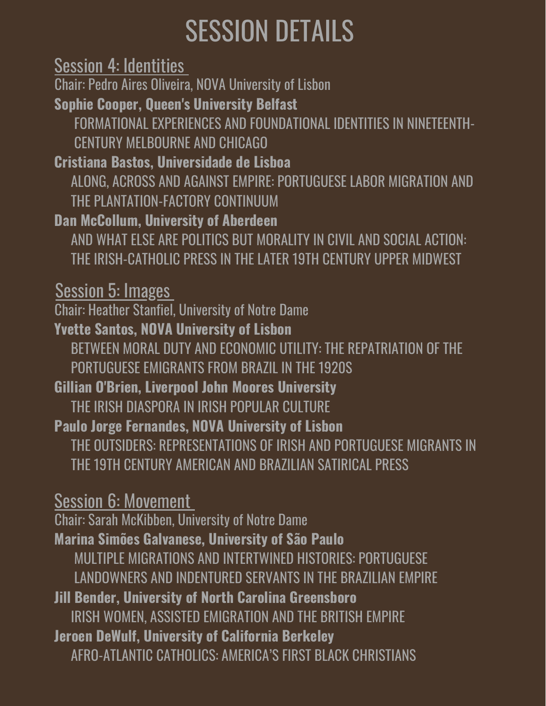## SESSION DETAILS

Session 4: Identities Chair: Pedro Aires Oliveira, NOVA University of Lisbon **Sophie Cooper, Queen's University Belfast** FORMATIONAL EXPERIENCES AND FOUNDATIONAL IDENTITIES IN NINETEENTH-CENTURY MELBOURNE AND CHICAGO **Cristiana Bastos, Universidade de Lisboa** ALONG, ACROSS AND AGAINST EMPIRE: PORTUGUESE LABOR MIGRATION AND THE PLANTATION-FACTORY CONTINUUM **Dan McCollum, University of Aberdeen** AND WHAT ELSE ARE POLITICS BUT MORALITY IN CIVIL AND SOCIAL ACTION: THE IRISH-CATHOLIC PRESS IN THE LATER 19TH CENTURY UPPER MIDWEST Session 5: Images Chair: Heather Stanfiel, University of Notre Dame **Yvette Santos, NOVA University of Lisbon** BETWEEN MORAL DUTY AND ECONOMIC UTILITY: THE REPATRIATION OF THE PORTUGUESE EMIGRANTS FROM BRAZIL IN THE 1920S **Gillian O'Brien, Liverpool John Moores University** THE IRISH DIASPORA IN IRISH POPULAR CULTURE **Paulo Jorge Fernandes, NOVA University of Lisbon** THE OUTSIDERS: REPRESENTATIONS OF IRISH AND PORTUGUESE MIGRANTS IN THE 19TH CENTURY AMERICAN AND BRAZILIAN SATIRICAL PRESS Session 6: Movement Chair: Sarah McKibben, University of Notre Dame **Marina Simões Galvanese, University of São Paulo** MULTIPLE MIGRATIONS AND INTERTWINED HISTORIES: PORTUGUESE LANDOWNERS AND INDENTURED SERVANTS IN THE BRAZILIAN EMPIRE **Jill Bender, University of North Carolina Greensboro** IRISH WOMEN, ASSISTED EMIGRATION AND THE BRITISH EMPIRE **Jeroen DeWulf, University of California Berkeley** AFRO-ATLANTIC CATHOLICS: AMERICA'S FIRST BLACK CHRISTIANS